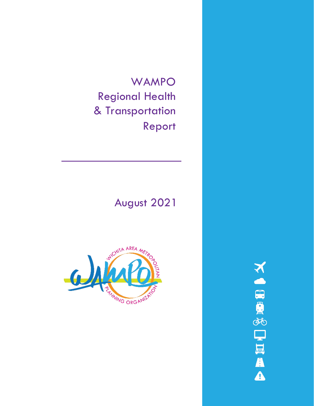WAMPO Regional Health & Transportation Report

# August 2021



**NORGEORA**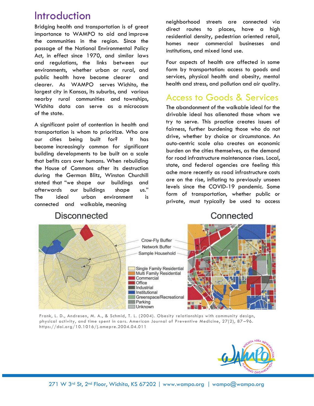# Introduction

Bridging health and transportation is of great importance to WAMPO to aid and improve the communities in the region. Since the passage of the National Environmental Policy Act, in effect since 1970, and similar laws and regulations, the links between our environments, whether urban or rural, and public health have become clearer and clearer. As WAMPO serves Wichita, the largest city in Kansas, its suburbs, and various nearby rural communities and townships, Wichita data can serve as a microcosm of the state.

A significant point of contention in health and transportation is whom to prioritize. Who are our cities being built for? It has become increasingly common for significant building developments to be built on a scale that befits cars over humans. When rebuilding the House of Commons after its destruction during the German Blitz, Winston Churchill stated that "we shape our buildings and afterwards our buildings shape us." The ideal urban environment is connected and walkable, meaning

neighborhood streets are connected via direct routes to places, have a high residential density, pedestrian oriented retail, homes near commercial businesses and institutions, and mixed land use.

Four aspects of health are affected in some form by transportation: access to goods and services, physical health and obesity, mental health and stress, and pollution and air quality.

## Access to Goods & Services

The abandonment of the walkable ideal for the drivable ideal has alienated those whom we try to serve. This practice creates issues of fairness, further burdening those who do not drive, whether by choice or circumstance. An auto-centric scale also creates an economic burden on the cities themselves, as the demand for road infrastructure maintenance rises. Local, state, and federal agencies are feeling this ache more recently as road infrastructure costs are on the rise, inflating to previously unseen levels since the COVID-19 pandemic. Some form of transportation, whether public or private, must typically be used to access

### Disconnected





Frank, L. D., Andresen, M. A., & Schmid, T. L. (2004). Obesity relationships with community design, physical activity, and time spent in cars. American Journal of Preventive Medicine, 27(2), 87 –96. https://doi.org/10.1016/j.amepre.2004.04.011

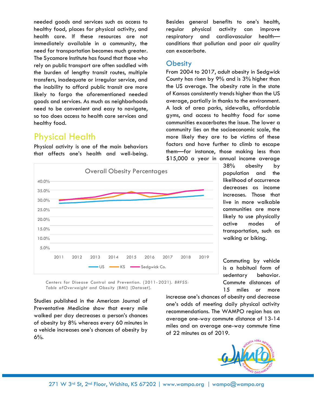needed goods and services such as access to healthy food, places for physical activity, and health care. If these resources are not immediately available in a community, the need for transportation becomes much greater. The Sycamore Institute has found that those who rely on public transport are often saddled with the burden of lengthy transit routes, multiple transfers, inadequate or irregular service, and the inability to afford public transit are more likely to forgo the aforementioned needed goods and services. As much as neighborhoods need to be convenient and easy to navigate, so too does access to health care services and healthy food.

### Physical Health

Physical activity is one of the main behaviors that affects one's health and well-being. Besides general benefits to one's health, regular physical activity can improve respiratory and cardiovascular health conditions that pollution and poor air quality can exacerbate.

#### **Obesity**

From 2004 to 2017, adult obesity in Sedgwick County has risen by 9% and is 3% higher than the US average. The obesity rate in the state of Kansas consistently trends higher than the US average, partially in thanks to the environment. A lack of area parks, sidewalks, affordable gyms, and access to healthy food for some communities exacerbates the issue. The lower a community lies on the socioeconomic scale, the more likely they are to be victims of these factors and have further to climb to escape them—for instance, those making less than \$15,000 a year in annual income average



38% obesity by population and the likelihood of occurrence decreases as income increases. Those that live in more walkable communities are more likely to use physically active modes of transportation, such as walking or biking.

Commuting by vehicle is a habitual form of sedentary behavior. Commute distances of 15 miles or more

increase one's chances of obesity and decrease one's odds of meeting daily physical activity recommendations. The WAMPO region has an average one-way commute distance of 13-14 miles and an average one-way commute time

of 22 minutes as of 2019.

Centers for Disease Control and Prevention. (2011- 2021). *BRFSS: Table ofOverweight and Obesity (BMI)* [Dataset].

Studies published in the American Journal of Preventative Medicine show that every mile walked per day decreases a person's chances of obesity by 8% whereas every 60 minutes in a vehicle increases one's chances of obesity by  $6%$ .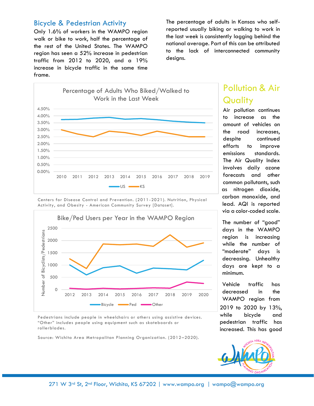#### Bicycle & Pedestrian Activity

Only 1.6% of workers in the WAMPO region walk or bike to work, half the percentage of the rest of the United States. The WAMPO region has seen a 52% increase in pedestrian traffic from 2012 to 2020, and a 19% increase in bicycle traffic in the same time frame.

The percentage of adults in Kansas who selfreported usually biking or walking to work in the last week is consistently lagging behind the national average. Part of this can be attributed to the lack of interconnected community designs.



Centers for Disease Control and Prevention. (2011-2021). Nutrition, Physical Activity, and Obesity - American Community Survey [Dataset].



Pedestrians include people in wheelchairs or others using assistive devices. "Other" includes people using equipment such as skateboards or rollerblades.

Source: Wichita Area Metropolitan Planning Organization. (2012–2020).

# Pollution & Air **Quality**

Air pollution continues to increase as the amount of vehicles on the road increases, despite continued efforts to improve emissions standards. The Air Quality Index involves daily ozone forecasts and other common pollutants, such as nitrogen dioxide, carbon monoxide, and lead. AQI is reported via a color-coded scale.

The number of "good" days in the WAMPO region is increasing while the number of "moderate" days is decreasing. Unhealthy days are kept to a minimum.

Vehicle traffic has decreased in the WAMPO region from 2019 to 2020 by 13%, while bicycle and pedestrian traffic has increased. This has good

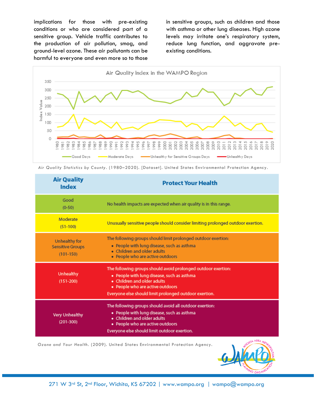implications for those with pre-existing conditions or who are considered part of a sensitive group. Vehicle traffic contributes to the production of air pollution, smog, and ground-level ozone. These air pollutants can be harmful to everyone and even more so to those

in sensitive groups, such as children and those with asthma or other lung diseases. High ozone levels may irritate one's respiratory system, reduce lung function, and aggravate preexisting conditions.



*Air Quality Statistics by County* . (1980–2020). [Dataset]. United States Environmental Protection Agency.

| <b>Air Quality</b><br><b>Index</b>                        | <b>Protect Your Health</b>                                                                                                                                                                                                               |
|-----------------------------------------------------------|------------------------------------------------------------------------------------------------------------------------------------------------------------------------------------------------------------------------------------------|
| Good<br>$(0-50)$                                          | No health impacts are expected when air quality is in this range.                                                                                                                                                                        |
| Moderate<br>$(51-100)$                                    | Unusually sensitive people should consider limiting prolonged outdoor exertion.                                                                                                                                                          |
| Unhealthy for<br><b>Sensitive Groups</b><br>$(101 - 150)$ | The following groups should limit prolonged outdoor exertion:<br>• People with lung disease, such as asthma<br>• Children and older adults<br>· People who are active outdoors                                                           |
| Unhealthy<br>$(151 - 200)$                                | The following groups should avoid prolonged outdoor exertion:<br>• People with lung disease, such as asthma<br>• Children and older adults<br>· People who are active outdoors<br>Everyone else should limit prolonged outdoor exertion. |
| <b>Very Unhealthy</b><br>$(201 - 300)$                    | The following groups should avoid all outdoor exertion:<br>• People with lung disease, such as asthma<br>• Children and older adults<br>• People who are active outdoors<br>Everyone else should limit outdoor exertion.                 |

*Ozone and Your Health*. (2009). United States Environmental Protection Agency.

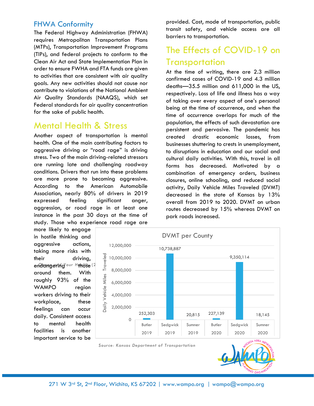#### FHWA Conformity

The Federal Highway Administration (FHWA) requires Metropolitan Transportation Plans (MTPs), Transportation Improvement Programs (TIPs), and federal projects to conform to the Clean Air Act and State Implementation Plan in order to ensure FWHA and FTA funds are given to activities that are consistent with air quality goals. Any new activities should not cause nor contribute to violations of the National Ambient Air Quality Standards (NAAQS), which set Federal standards for air quality concentration for the sake of public health.

### Mental Health & Stress

Another aspect of transportation is mental health. One of the main contributing factors to aggressive driving or "road rage" is driving stress. Two of the main driving-related stressors are running late and challenging roadway conditions. Drivers that run into these problems are more prone to becoming aggressive. According to the American Automobile Association, nearly 80% of drivers in 2019 expressed feeling significant anger, aggression, or road rage in at least one instance in the past 30 days at the time of study. Those who experience road rage are

more likely to engage in hostile thinking and aggressive actions, taking more risks with their driving, around them. With roughly 93% of the WAMPO region workers driving to their workplace, these feelings can occur daily. Consistent access to mental health facilities is another important service to be



*Source: Kansas Department of Transportation*



provided. Cost, mode of transportation, public transit safety, and vehicle access are all barriers to transportation.

## The Effects of COVID-19 on **Transportation**

At the time of writing, there are 2.3 million confirmed cases of COVID-19 and 4.3 million deaths—35.5 million and 611,000 in the US, respectively. Loss of life and illness has a way of taking over every aspect of one's personal being at the time of occurrence, and when the time of occurrence overlaps for much of the population, the effects of such devastation are persistent and pervasive. The pandemic has created drastic economic losses, from businesses shuttering to crests in unemployment, to disruptions in education and our social and cultural daily activities. With this, travel in all forms has decreased. Motivated by a combination of emergency orders, business closures, online schooling, and reduced social activity, Daily Vehicle Miles Traveled (DVMT) decreased in the state of Kansas by 13% overall from 2019 to 2020. DVMT on urban routes decreased by 15% whereas DVMT on park roads increased.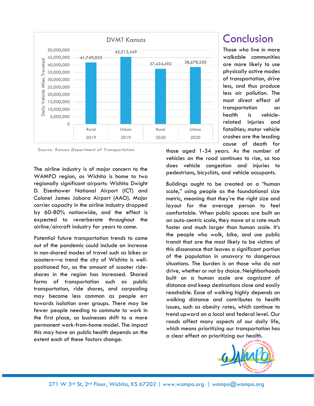

*Source: Kansas Department of Transportation*

The airline industry is of major concern to the WAMPO region, as Wichita is home to two regionally significant airports: Wichita Dwight D. Eisenhower National Airport (ICT) and Colonel James Jabara Airport (AAO). Major carrier capacity in the airline industry dropped by 60-80% nationwide, and the effect is expected to reverberate throughout the airline/aircraft industry for years to come.

Potential future transportation trends to come out of the pandemic could include an increase in non-shared modes of travel such as bikes or scooters—a trend the city of Wichita is wellpositioned for, as the amount of scooter rideshares in the region has increased. Shared forms of transportation such as public transportation, ride shares, and carpooling may become less common as people err towards isolation over groups. There may be fewer people needing to commute to work in the first place, as businesses shift to a more permanent work-from-home model. The impact this may have on public health depends on the extent each of these factors change.

## Conclusion

Those who live in more walkable communities are more likely to use physically active modes of transportation, drive less, and thus produce less air pollution. The most direct effect of transportation on health is vehiclerelated injuries and fatalities; motor vehicle crashes are the leading cause of death for

those aged 1-34 years. As the number of vehicles on the road continues to rise, so too does vehicle congestion and injuries to pedestrians, bicyclists, and vehicle occupants.

Buildings ought to be created on a "human scale," using people as the foundational size metric, meaning that they're the right size and layout for the average person to feel comfortable. When public spaces are built on an auto-centric scale, they move at a rate much faster and much larger than human scale. It's the people who walk, bike, and use public transit that are the most likely to be victims of this dissonance that leaves a significant portion of the population in unsavory to dangerous situations. The burden is on those who do not drive, whether or not by choice. Neighborhoods built on a human scale are cognizant of distance and keep destinations close and easily reachable. Ease of walking highly depends on walking distance and contributes to health issues, such as obesity rates, which continue to trend upward on a local and federal level. Our roads affect many aspects of our daily life, which means prioritizing our transportation has a clear effect on prioritizing our health.